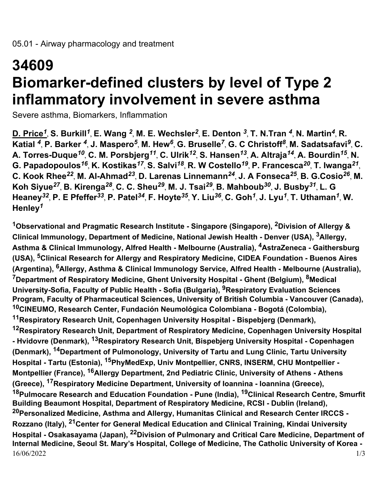## **34609 Biomarker-defined clusters by level of Type 2 inflammatory involvement in severe asthma**

Severe asthma, Biomarkers, Inflammation

**D. Price***<sup>1</sup>* , **S. Burkill***<sup>1</sup>* , **E. Wang** *<sup>2</sup>* , **M. E. Wechsler***<sup>2</sup>* , **E. Denton** *<sup>3</sup>* , **T. N.Tran** *<sup>4</sup>* , **N. Martin***<sup>4</sup>* , **R. Katial** *<sup>4</sup>* , **P. Barker** *<sup>4</sup>* , **J. Maspero***<sup>5</sup>* , **M. Hew***<sup>6</sup>* , **G. Bruselle***<sup>7</sup>* , **G. C Christoff***<sup>8</sup>* , **M. Sadatsafavi***<sup>9</sup>* , **C. A. Torres-Duque***<sup>10</sup>* , **C. M. Porsbjerg***<sup>11</sup>* , **C. Ulrik***<sup>12</sup>* , **S. Hansen***<sup>13</sup>* , **A. Altraja***<sup>14</sup>* , **A. Bourdin***<sup>15</sup>* , **N. G. Papadopoulos***<sup>16</sup>* , **K. Kostikas***<sup>17</sup>* , **S. Salvi***<sup>18</sup>* , **R. W Costello***<sup>19</sup>* , **P. Francesca***<sup>20</sup>* , **T. Iwanga***<sup>21</sup>* , **C. Kook Rhee***<sup>22</sup>* , **M. Al-Ahmad***<sup>23</sup>* , **D. Larenas Linnemann***<sup>24</sup>* , **J. A Fonseca***<sup>25</sup>* , **B. G.Cosio***<sup>26</sup>* , **M. Koh Siyue***<sup>27</sup>* , **B. Kirenga***<sup>28</sup>* , **C. C. Sheu***<sup>29</sup>* , **M. J. Tsai***<sup>29</sup>* , **B. Mahboub***<sup>30</sup>* , **J. Busby***<sup>31</sup>* , **L. G Heaney***<sup>32</sup>* , **P. E Pfeffer***<sup>33</sup>* , **P. Patel***<sup>34</sup>* , **F. Hoyte***<sup>35</sup>* , **Y. Liu***<sup>36</sup>* , **C. Goh***<sup>1</sup>* , **J. Lyu***<sup>1</sup>* , **T. Uthaman***<sup>1</sup>* , **W. Henley***<sup>1</sup>*

16/06/2022 1/3 **<sup>1</sup>Observational and Pragmatic Research Institute - Singapore (Singapore), 2Division of Allergy & Clinical Immunology, Department of Medicine, National Jewish Health - Denver (USA), 3Allergy, Asthma & Clinical Immunology, Alfred Health - Melbourne (Australia), 4AstraZeneca - Gaithersburg (USA), 5Clinical Research for Allergy and Respiratory Medicine, CIDEA Foundation - Buenos Aires (Argentina), 6Allergy, Asthma & Clinical Immunology Service, Alfred Health - Melbourne (Australia), <sup>7</sup>Department of Respiratory Medicine, Ghent University Hospital - Ghent (Belgium), 8Medical University-Sofia, Faculty of Public Health - Sofia (Bulgaria), 9Respiratory Evaluation Sciences Program, Faculty of Pharmaceutical Sciences, University of British Columbia - Vancouver (Canada), <sup>10</sup>CINEUMO, Research Center, Fundación Neumológica Colombiana - Bogotá (Colombia), <sup>11</sup>Respiratory Research Unit, Copenhagen University Hospital - Bispebjerg (Denmark), <sup>12</sup>Respiratory Research Unit, Department of Respiratory Medicine, Copenhagen University Hospital - Hvidovre (Denmark), 13Respiratory Research Unit, Bispebjerg University Hospital - Copenhagen (Denmark), 14Department of Pulmonology, University of Tartu and Lung Clinic, Tartu University Hospital - Tartu (Estonia), 15PhyMedExp, Univ Montpellier, CNRS, INSERM, CHU Montpellier - Montpellier (France), 16Allergy Department, 2nd Pediatric Clinic, University of Athens - Athens (Greece), 17Respiratory Medicine Department, University of Ioannina - Ioannina (Greece), <sup>18</sup>Pulmocare Research and Education Foundation - Pune (India), 19Clinical Research Centre, Smurfit Building Beaumont Hospital, Department of Respiratory Medicine, RCSI - Dublin (Ireland), <sup>20</sup>Personalized Medicine, Asthma and Allergy, Humanitas Clinical and Research Center IRCCS - Rozzano (Italy), 21Center for General Medical Education and Clinical Training, Kindai University Hospital - Osakasayama (Japan), 22Division of Pulmonary and Critical Care Medicine, Department of Internal Medicine, Seoul St. Mary's Hospital, College of Medicine, The Catholic University of Korea -**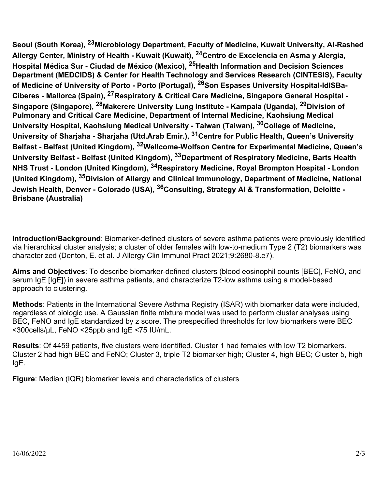**Seoul (South Korea), 23Microbiology Department, Faculty of Medicine, Kuwait University, Al-Rashed Allergy Center, Ministry of Health - Kuwait (Kuwait), 24Centro de Excelencia en Asma y Alergia, Hospital Médica Sur - Ciudad de México (Mexico), 25Health Information and Decision Sciences Department (MEDCIDS) & Center for Health Technology and Services Research (CINTESIS), Faculty of Medicine of University of Porto - Porto (Portugal), 26Son Espases University Hospital-IdISBa-Ciberes - Mallorca (Spain), 27Respiratory & Critical Care Medicine, Singapore General Hospital - Singapore (Singapore), 28Makerere University Lung Institute - Kampala (Uganda), 29Division of Pulmonary and Critical Care Medicine, Department of Internal Medicine, Kaohsiung Medical University Hospital, Kaohsiung Medical University - Taiwan (Taiwan), 30College of Medicine, University of Sharjaha - Sharjaha (Utd.Arab Emir.), 31Centre for Public Health, Queen's University Belfast - Belfast (United Kingdom), 32Wellcome-Wolfson Centre for Experimental Medicine, Queen's University Belfast - Belfast (United Kingdom), 33Department of Respiratory Medicine, Barts Health NHS Trust - London (United Kingdom), 34Respiratory Medicine, Royal Brompton Hospital - London (United Kingdom), 35Division of Allergy and Clinical Immunology, Department of Medicine, National Jewish Health, Denver - Colorado (USA), 36Consulting, Strategy AI & Transformation, Deloitte - Brisbane (Australia)**

**Introduction/Background**: Biomarker-defined clusters of severe asthma patients were previously identified via hierarchical cluster analysis; a cluster of older females with low-to-medium Type 2 (T2) biomarkers was characterized (Denton, E. et al. J Allergy Clin Immunol Pract 2021;9:2680-8.e7).

**Aims and Objectives**: To describe biomarker-defined clusters (blood eosinophil counts [BEC], FeNO, and serum IgE [IgE]) in severe asthma patients, and characterize T2-low asthma using a model-based approach to clustering.

**Methods**: Patients in the International Severe Asthma Registry (ISAR) with biomarker data were included, regardless of biologic use. A Gaussian finite mixture model was used to perform cluster analyses using BEC, FeNO and IgE standardized by z score. The prespecified thresholds for low biomarkers were BEC <300cells/µL, FeNO <25ppb and IgE <75 IU/mL.

**Results**: Of 4459 patients, five clusters were identified. Cluster 1 had females with low T2 biomarkers. Cluster 2 had high BEC and FeNO; Cluster 3, triple T2 biomarker high; Cluster 4, high BEC; Cluster 5, high IgE.

**Figure**: Median (IQR) biomarker levels and characteristics of clusters